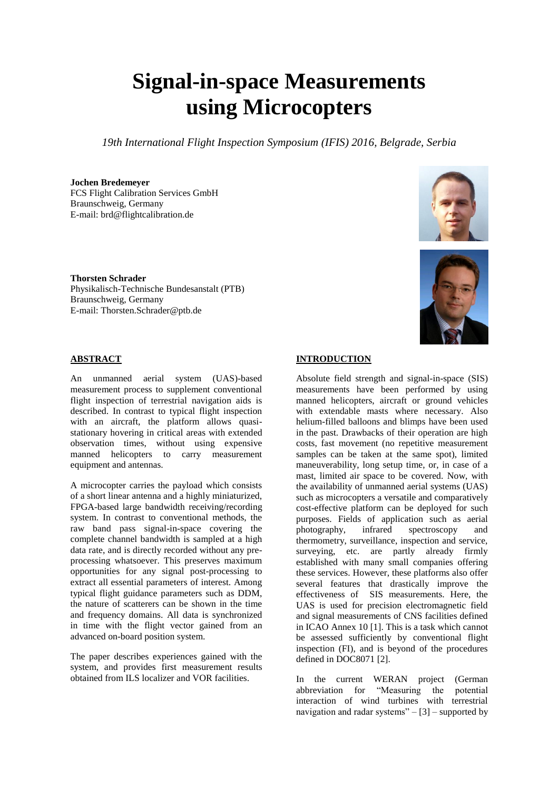# **Signal-in-space Measurements using Microcopters**

*19th International Flight Inspection Symposium (IFIS) 2016, Belgrade, Serbia*

## **Jochen Bredemeyer**

FCS Flight Calibration Services GmbH Braunschweig, Germany E-mail: brd@flightcalibration.de

**Thorsten Schrader** Physikalisch-Technische Bundesanstalt (PTB) Braunschweig, Germany E-mail: Thorsten.Schrader@ptb.de

# **ABSTRACT**

An unmanned aerial system (UAS)-based measurement process to supplement conventional flight inspection of terrestrial navigation aids is described. In contrast to typical flight inspection with an aircraft, the platform allows quasistationary hovering in critical areas with extended observation times, without using expensive manned helicopters to carry measurement equipment and antennas.

A microcopter carries the payload which consists of a short linear antenna and a highly miniaturized, FPGA-based large bandwidth receiving/recording system. In contrast to conventional methods, the raw band pass signal-in-space covering the complete channel bandwidth is sampled at a high data rate, and is directly recorded without any preprocessing whatsoever. This preserves maximum opportunities for any signal post-processing to extract all essential parameters of interest. Among typical flight guidance parameters such as DDM, the nature of scatterers can be shown in the time and frequency domains. All data is synchronized in time with the flight vector gained from an advanced on-board position system.

The paper describes experiences gained with the system, and provides first measurement results obtained from ILS localizer and VOR facilities.





# **INTRODUCTION**

Absolute field strength and signal-in-space (SIS) measurements have been performed by using manned helicopters, aircraft or ground vehicles with extendable masts where necessary. Also helium-filled balloons and blimps have been used in the past. Drawbacks of their operation are high costs, fast movement (no repetitive measurement samples can be taken at the same spot), limited maneuverability, long setup time, or, in case of a mast, limited air space to be covered. Now, with the availability of unmanned aerial systems (UAS) such as microcopters a versatile and comparatively cost-effective platform can be deployed for such purposes. Fields of application such as aerial photography, infrared spectroscopy and thermometry, surveillance, inspection and service, surveying, etc. are partly already firmly established with many small companies offering these services. However, these platforms also offer several features that drastically improve the effectiveness of SIS measurements. Here, the UAS is used for precision electromagnetic field and signal measurements of CNS facilities defined in ICAO Annex 10 [1]. This is a task which cannot be assessed sufficiently by conventional flight inspection (FI), and is beyond of the procedures defined in DOC8071 [2].

In the current WERAN project (German abbreviation for "Measuring the potential interaction of wind turbines with terrestrial navigation and radar systems" $-$ [3] – supported by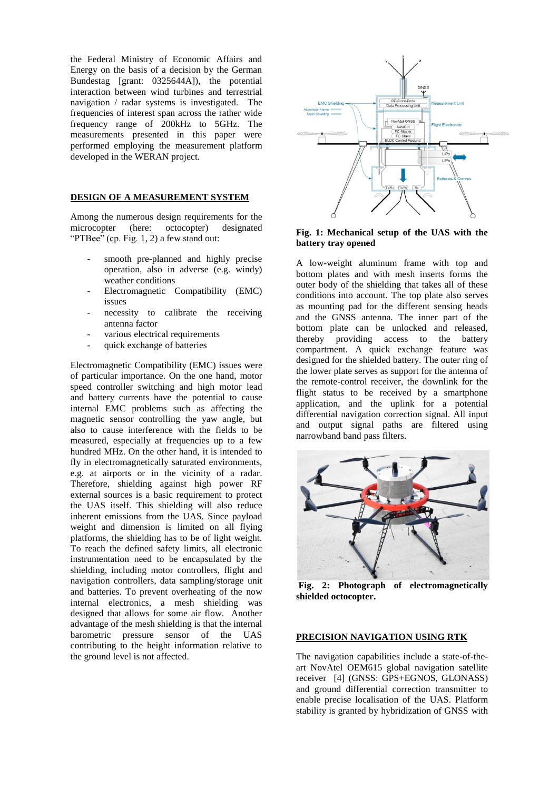the Federal Ministry of Economic Affairs and Energy on the basis of a decision by the German Bundestag [grant: 0325644A]), the potential interaction between wind turbines and terrestrial navigation / radar systems is investigated. The frequencies of interest span across the rather wide frequency range of 200kHz to 5GHz. The measurements presented in this paper were performed employing the measurement platform developed in the WERAN project.

## **DESIGN OF A MEASUREMENT SYSTEM**

Among the numerous design requirements for the microcopter (here: octocopter) designated "PTBee" (cp. Fig. 1, 2) a few stand out:

- smooth pre-planned and highly precise operation, also in adverse (e.g. windy) weather conditions
- Electromagnetic Compatibility (EMC) issues
- necessity to calibrate the receiving antenna factor
- various electrical requirements
- quick exchange of batteries

Electromagnetic Compatibility (EMC) issues were of particular importance. On the one hand, motor speed controller switching and high motor lead and battery currents have the potential to cause internal EMC problems such as affecting the magnetic sensor controlling the yaw angle, but also to cause interference with the fields to be measured, especially at frequencies up to a few hundred MHz. On the other hand, it is intended to fly in electromagnetically saturated environments, e.g. at airports or in the vicinity of a radar. Therefore, shielding against high power RF external sources is a basic requirement to protect the UAS itself. This shielding will also reduce inherent emissions from the UAS. Since payload weight and dimension is limited on all flying platforms, the shielding has to be of light weight. To reach the defined safety limits, all electronic instrumentation need to be encapsulated by the shielding, including motor controllers, flight and navigation controllers, data sampling/storage unit and batteries. To prevent overheating of the now internal electronics, a mesh shielding was designed that allows for some air flow. Another advantage of the mesh shielding is that the internal barometric pressure sensor of the UAS contributing to the height information relative to the ground level is not affected.



## **Fig. 1: Mechanical setup of the UAS with the battery tray opened**

A low-weight aluminum frame with top and bottom plates and with mesh inserts forms the outer body of the shielding that takes all of these conditions into account. The top plate also serves as mounting pad for the different sensing heads and the GNSS antenna. The inner part of the bottom plate can be unlocked and released, thereby providing access to the battery compartment. A quick exchange feature was designed for the shielded battery. The outer ring of the lower plate serves as support for the antenna of the remote-control receiver, the downlink for the flight status to be received by a smartphone application, and the uplink for a potential differential navigation correction signal. All input and output signal paths are filtered using narrowband band pass filters.



**Fig. 2: Photograph of electromagnetically shielded octocopter.**

#### **PRECISION NAVIGATION USING RTK**

The navigation capabilities include a state-of-theart NovAtel OEM615 global navigation satellite receiver [4] (GNSS: GPS+EGNOS, GLONASS) and ground differential correction transmitter to enable precise localisation of the UAS. Platform stability is granted by hybridization of GNSS with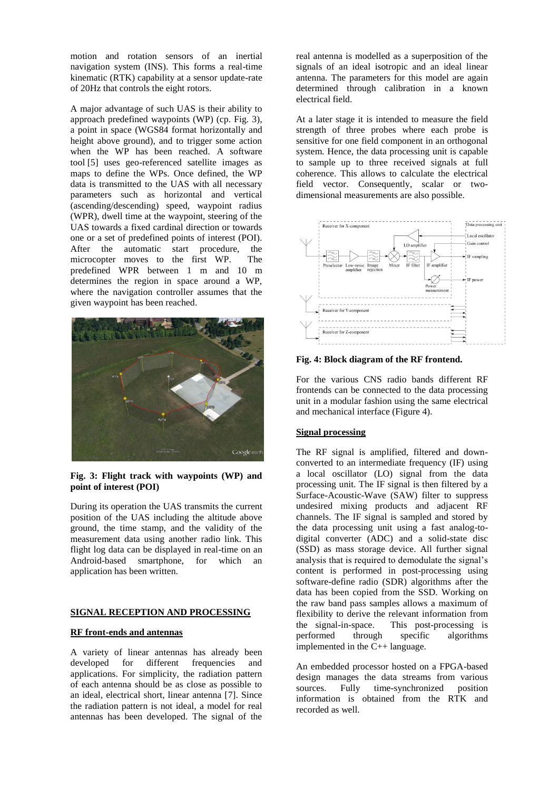motion and rotation sensors of an inertial navigation system (INS). This forms a real-time kinematic (RTK) capability at a sensor update-rate of 20Hz that controls the eight rotors.

A major advantage of such UAS is their ability to approach predefined waypoints (WP) (cp. Fig. 3), a point in space (WGS84 format horizontally and height above ground), and to trigger some action when the WP has been reached. A software tool [5] uses geo-referenced satellite images as maps to define the WPs. Once defined, the WP data is transmitted to the UAS with all necessary parameters such as horizontal and vertical (ascending/descending) speed, waypoint radius (WPR), dwell time at the waypoint, steering of the UAS towards a fixed cardinal direction or towards one or a set of predefined points of interest (POI). After the automatic start procedure, the microcopter moves to the first WP. The predefined WPR between 1 m and 10 m determines the region in space around a WP, where the navigation controller assumes that the given waypoint has been reached.





During its operation the UAS transmits the current position of the UAS including the altitude above ground, the time stamp, and the validity of the measurement data using another radio link. This flight log data can be displayed in real-time on an Android-based smartphone, for which an application has been written.

## **SIGNAL RECEPTION AND PROCESSING**

## **RF front-ends and antennas**

A variety of linear antennas has already been developed for different frequencies and applications. For simplicity, the radiation pattern of each antenna should be as close as possible to an ideal, electrical short, linear antenna [7]. Since the radiation pattern is not ideal, a model for real antennas has been developed. The signal of the

real antenna is modelled as a superposition of the signals of an ideal isotropic and an ideal linear antenna. The parameters for this model are again determined through calibration in a known electrical field.

At a later stage it is intended to measure the field strength of three probes where each probe is sensitive for one field component in an orthogonal system. Hence, the data processing unit is capable to sample up to three received signals at full coherence. This allows to calculate the electrical field vector. Consequently, scalar or twodimensional measurements are also possible.



**Fig. 4: Block diagram of the RF frontend.**

For the various CNS radio bands different RF frontends can be connected to the data processing unit in a modular fashion using the same electrical and mechanical interface (Figure 4).

## **Signal processing**

The RF signal is amplified, filtered and downconverted to an intermediate frequency (IF) using a local oscillator (LO) signal from the data processing unit. The IF signal is then filtered by a Surface-Acoustic-Wave (SAW) filter to suppress undesired mixing products and adjacent RF channels. The IF signal is sampled and stored by the data processing unit using a fast analog-todigital converter (ADC) and a solid-state disc (SSD) as mass storage device. All further signal analysis that is required to demodulate the signal's content is performed in post-processing using software-define radio (SDR) algorithms after the data has been copied from the SSD. Working on the raw band pass samples allows a maximum of flexibility to derive the relevant information from the signal-in-space. This post-processing is<br>performed through specific algorithms through specific algorithms implemented in the C++ language.

An embedded processor hosted on a FPGA-based design manages the data streams from various sources. Fully time-synchronized position information is obtained from the RTK and recorded as well.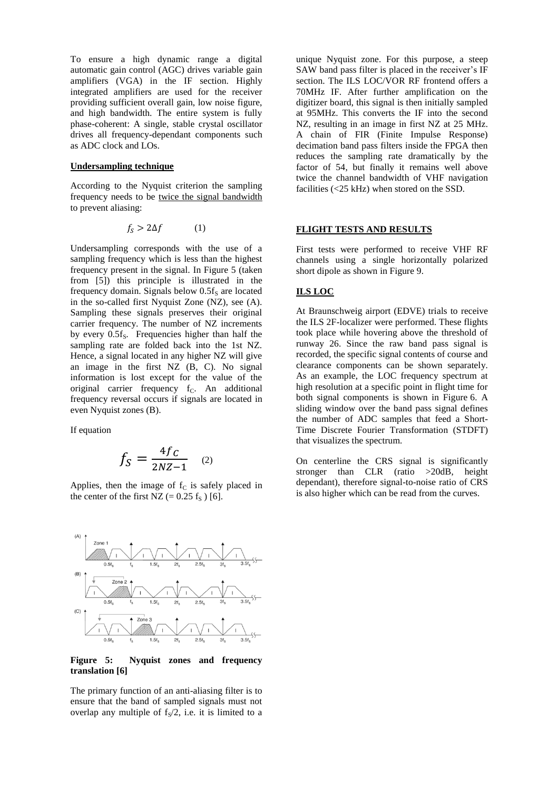To ensure a high dynamic range a digital automatic gain control (AGC) drives variable gain amplifiers (VGA) in the IF section. Highly integrated amplifiers are used for the receiver providing sufficient overall gain, low noise figure, and high bandwidth. The entire system is fully phase-coherent: A single, stable crystal oscillator drives all frequency-dependant components such as ADC clock and LOs.

### **Undersampling technique**

According to the Nyquist criterion the sampling frequency needs to be twice the signal bandwidth to prevent aliasing:

$$
f_{\rm S} > 2\Delta f \tag{1}
$$

Undersampling corresponds with the use of a sampling frequency which is less than the highest frequency present in the signal. In Figure 5 (taken from [5]) this principle is illustrated in the frequency domain. Signals below  $0.5f<sub>S</sub>$  are located in the so-called first Nyquist Zone (NZ), see (A). Sampling these signals preserves their original carrier frequency. The number of NZ increments by every  $0.5f_s$ . Frequencies higher than half the sampling rate are folded back into the 1st NZ. Hence, a signal located in any higher NZ will give an image in the first NZ (B, C). No signal information is lost except for the value of the original carrier frequency f<sub>C</sub>. An additional frequency reversal occurs if signals are located in even Nyquist zones (B).

If equation

$$
f_S = \frac{4f_C}{2NZ - 1} \quad (2)
$$

Applies, then the image of  $f_c$  is safely placed in the center of the first NZ (=  $0.25$  f<sub>S</sub>) [6].



**Figure 5: Nyquist zones and frequency translation [6]**

The primary function of an anti-aliasing filter is to ensure that the band of sampled signals must not overlap any multiple of  $f_S/2$ , i.e. it is limited to a

unique Nyquist zone. For this purpose, a steep SAW band pass filter is placed in the receiver's IF section. The ILS LOC/VOR RF frontend offers a 70MHz IF. After further amplification on the digitizer board, this signal is then initially sampled at 95MHz. This converts the IF into the second NZ, resulting in an image in first NZ at 25 MHz. A chain of FIR (Finite Impulse Response) decimation band pass filters inside the FPGA then reduces the sampling rate dramatically by the factor of 54, but finally it remains well above twice the channel bandwidth of VHF navigation facilities (<25 kHz) when stored on the SSD.

## **FLIGHT TESTS AND RESULTS**

First tests were performed to receive VHF RF channels using a single horizontally polarized short dipole as shown in Figure 9.

# **ILS LOC**

At Braunschweig airport (EDVE) trials to receive the ILS 2F-localizer were performed. These flights took place while hovering above the threshold of runway 26. Since the raw band pass signal is recorded, the specific signal contents of course and clearance components can be shown separately. As an example, the LOC frequency spectrum at high resolution at a specific point in flight time for both signal components is shown in Figure 6. A sliding window over the band pass signal defines the number of ADC samples that feed a Short-Time Discrete Fourier Transformation (STDFT) that visualizes the spectrum.

On centerline the CRS signal is significantly stronger than CLR (ratio >20dB, height dependant), therefore signal-to-noise ratio of CRS is also higher which can be read from the curves.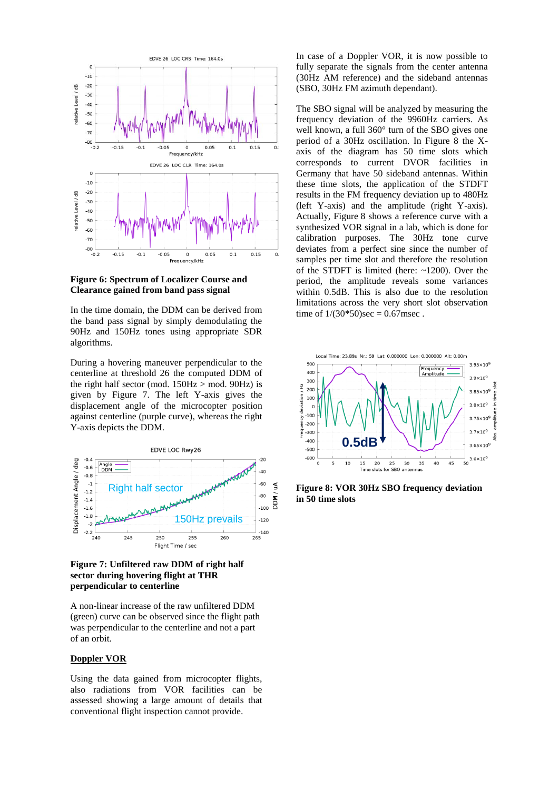

**Figure 6: Spectrum of Localizer Course and Clearance gained from band pass signal**

In the time domain, the DDM can be derived from the band pass signal by simply demodulating the 90Hz and 150Hz tones using appropriate SDR algorithms.

During a hovering maneuver perpendicular to the centerline at threshold 26 the computed DDM of the right half sector (mod.  $150\text{Hz} > \text{mod. } 90\text{Hz}$ ) is given by Figure 7. The left Y-axis gives the displacement angle of the microcopter position against centerline (purple curve), whereas the right Y-axis depicts the DDM.



**Figure 7: Unfiltered raw DDM of right half sector during hovering flight at THR perpendicular to centerline**

A non-linear increase of the raw unfiltered DDM (green) curve can be observed since the flight path was perpendicular to the centerline and not a part of an orbit.

## **Doppler VOR**

Using the data gained from microcopter flights, also radiations from VOR facilities can be assessed showing a large amount of details that conventional flight inspection cannot provide.

In case of a Doppler VOR, it is now possible to fully separate the signals from the center antenna (30Hz AM reference) and the sideband antennas (SBO, 30Hz FM azimuth dependant).

The SBO signal will be analyzed by measuring the frequency deviation of the 9960Hz carriers. As well known, a full 360° turn of the SBO gives one period of a 30Hz oscillation. In Figure 8 the Xaxis of the diagram has 50 time slots which corresponds to current DVOR facilities in Germany that have 50 sideband antennas. Within these time slots, the application of the STDFT results in the FM frequency deviation up to 480Hz (left Y-axis) and the amplitude (right Y-axis). Actually, Figure 8 shows a reference curve with a synthesized VOR signal in a lab, which is done for calibration purposes. The 30Hz tone curve deviates from a perfect sine since the number of samples per time slot and therefore the resolution of the STDFT is limited (here: ~1200). Over the period, the amplitude reveals some variances within 0.5dB. This is also due to the resolution limitations across the very short slot observation time of  $1/(30*50)$ sec = 0.67msec.



**Figure 8: VOR 30Hz SBO frequency deviation in 50 time slots**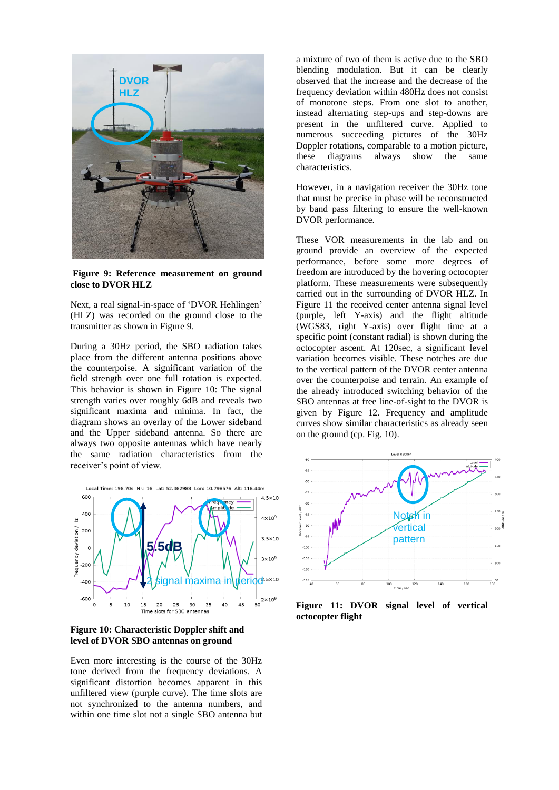

**Figure 9: Reference measurement on ground close to DVOR HLZ**

Next, a real signal-in-space of 'DVOR Hehlingen' (HLZ) was recorded on the ground close to the transmitter as shown in Figure 9.

During a 30Hz period, the SBO radiation takes place from the different antenna positions above the counterpoise. A significant variation of the field strength over one full rotation is expected. This behavior is shown in Figure 10: The signal strength varies over roughly 6dB and reveals two significant maxima and minima. In fact, the diagram shows an overlay of the Lower sideband and the Upper sideband antenna. So there are always two opposite antennas which have nearly the same radiation characteristics from the receiver's point of view.



**Figure 10: Characteristic Doppler shift and level of DVOR SBO antennas on ground**

Even more interesting is the course of the 30Hz tone derived from the frequency deviations. A significant distortion becomes apparent in this unfiltered view (purple curve). The time slots are not synchronized to the antenna numbers, and within one time slot not a single SBO antenna but

a mixture of two of them is active due to the SBO blending modulation. But it can be clearly observed that the increase and the decrease of the frequency deviation within 480Hz does not consist of monotone steps. From one slot to another, instead alternating step-ups and step-downs are present in the unfiltered curve. Applied to numerous succeeding pictures of the 30Hz Doppler rotations, comparable to a motion picture, these diagrams always show the same characteristics.

However, in a navigation receiver the 30Hz tone that must be precise in phase will be reconstructed by band pass filtering to ensure the well-known DVOR performance.

These VOR measurements in the lab and on ground provide an overview of the expected performance, before some more degrees of freedom are introduced by the hovering octocopter platform. These measurements were subsequently carried out in the surrounding of DVOR HLZ. In Figure 11 the received center antenna signal level (purple, left Y-axis) and the flight altitude (WGS83, right Y-axis) over flight time at a specific point (constant radial) is shown during the octocopter ascent. At 120sec, a significant level variation becomes visible. These notches are due to the vertical pattern of the DVOR center antenna over the counterpoise and terrain. An example of the already introduced switching behavior of the SBO antennas at free line-of-sight to the DVOR is given by Figure 12. Frequency and amplitude curves show similar characteristics as already seen on the ground (cp. Fig. 10).



**Figure 11: DVOR signal level of vertical octocopter flight**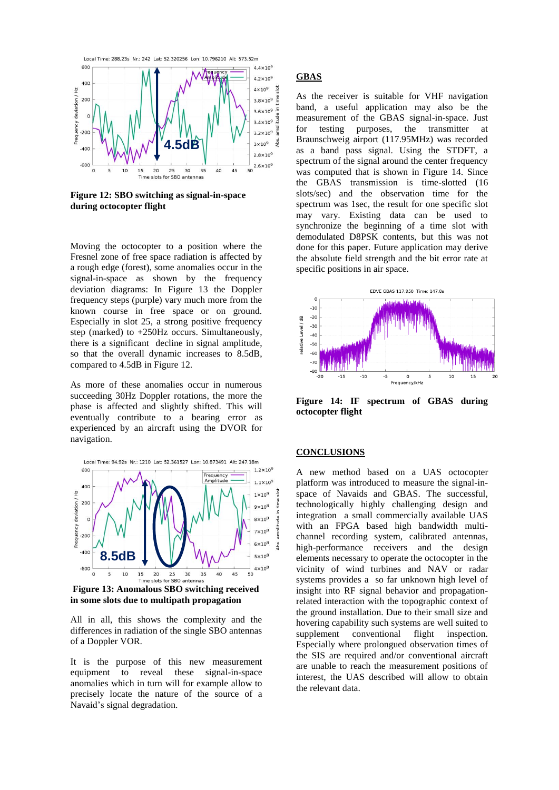

**Figure 12: SBO switching as signal-in-space during octocopter flight**

Moving the octocopter to a position where the Fresnel zone of free space radiation is affected by a rough edge (forest), some anomalies occur in the signal-in-space as shown by the frequency deviation diagrams: In Figure 13 the Doppler frequency steps (purple) vary much more from the known course in free space or on ground. Especially in slot 25, a strong positive frequency step (marked) to +250Hz occurs. Simultaneously, there is a significant decline in signal amplitude, so that the overall dynamic increases to 8.5dB, compared to 4.5dB in Figure 12.

As more of these anomalies occur in numerous succeeding 30Hz Doppler rotations, the more the phase is affected and slightly shifted. This will eventually contribute to a bearing error as experienced by an aircraft using the DVOR for navigation.



**Figure 13: Anomalous SBO switching received in some slots due to multipath propagation**

All in all, this shows the complexity and the differences in radiation of the single SBO antennas of a Doppler VOR.

It is the purpose of this new measurement equipment to reveal these signal-in-space anomalies which in turn will for example allow to precisely locate the nature of the source of a Navaid's signal degradation.

# **GBAS**

As the receiver is suitable for VHF navigation band, a useful application may also be the measurement of the GBAS signal-in-space. Just for testing purposes, the transmitter at Braunschweig airport (117.95MHz) was recorded as a band pass signal. Using the STDFT, a spectrum of the signal around the center frequency was computed that is shown in Figure 14. Since the GBAS transmission is time-slotted (16 slots/sec) and the observation time for the spectrum was 1sec, the result for one specific slot may vary. Existing data can be used to synchronize the beginning of a time slot with demodulated D8PSK contents, but this was not done for this paper. Future application may derive the absolute field strength and the bit error rate at specific positions in air space.



**Figure 14: IF spectrum of GBAS during octocopter flight**

## **CONCLUSIONS**

A new method based on a UAS octocopter platform was introduced to measure the signal-inspace of Navaids and GBAS. The successful, technologically highly challenging design and integration a small commercially available UAS with an FPGA based high bandwidth multichannel recording system, calibrated antennas, high-performance receivers and the design elements necessary to operate the octocopter in the vicinity of wind turbines and NAV or radar systems provides a so far unknown high level of insight into RF signal behavior and propagationrelated interaction with the topographic context of the ground installation. Due to their small size and hovering capability such systems are well suited to supplement conventional flight inspection. Especially where prolongued observation times of the SIS are required and/or conventional aircraft are unable to reach the measurement positions of interest, the UAS described will allow to obtain the relevant data.